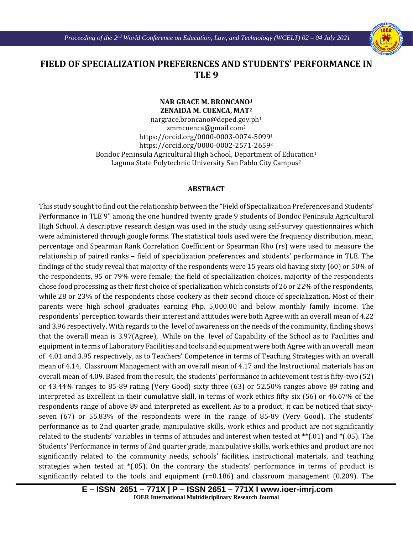

## **FIELD OF SPECIALIZATION PREFERENCES AND STUDENTS' PERFORMANCE IN TLE 9**

Ι

## **NAR GRACE M. BRONCANO1 ZENAIDA M. CUENCA, MAT2**

[nargrace.broncano@deped.gov.ph1](mailto:nargrace.broncano@deped.gov.ph) zmmcuenca@gmail.com2 https://orcid.org/0000-0003-0074-50991 https://orcid.org/0000-0002-2571-26592 Bondoc Peninsula Agricultural High School, Department of Education<sup>1</sup> Laguna State Polytechnic University San Pablo City Campus2

## **ABSTRACT**

This study sought to find out the relationship between the "Field of Specialization Preferences and Students' Performance in TLE 9" among the one hundred twenty grade 9 students of Bondoc Peninsula Agricultural High School. A descriptive research design was used in the study using self-survey questionnaires which were administered through google forms. The statistical tools used were the frequency distribution, mean, percentage and Spearman Rank Correlation Coefficient or Spearman Rho (rs) were used to measure the relationship of paired ranks – field of specialization preferences and students' performance in TLE. The findings of the study reveal that majority of the respondents were 15 years old having sixty (60) or 50% of the respondents, 95 or 79% were female; the field of specialization choices, majority of the respondents chose food processing as their first choice of specialization which consists of 26 or 22% of the respondents, while 28 or 23% of the respondents chose cookery as their second choice of specialization. Most of their parents were high school graduates earning Php. 5,000.00 and below monthly family income. The respondents' perception towards their interest and attitudes were both Agree with an overall mean of 4.22 and 3.96 respectively. With regards to the level of awareness on the needs of the community, finding shows that the overall mean is 3.97(Agree), While on the level of Capability of the School as to Facilities and equipment in terms of Laboratory Facilities and tools and equipment were both Agree with an overall mean of 4.01 and 3.95 respectively, as to Teachers' Competence in terms of Teaching Strategies with an overall mean of 4.14, Classroom Management with an overall mean of 4.17 and the Instructional materials has an overall mean of 4.09. Based from the result, the students' performance in achievement test is fifty-two (52) or 43.44% ranges to 85-89 rating (Very Good) sixty three (63) or 52.50% ranges above 89 rating and interpreted as Excellent in their cumulative skill, in terms of work ethics fifty six (56) or 46.67% of the respondents range of above 89 and interpreted as excellent. As to a product, it can be noticed that sixtyseven (67) or 55.83% of the respondents were in the range of 85-89 (Very Good). The students' performance as to 2nd quarter grade, manipulative skills, work ethics and product are not significantly related to the students' variables in terms of attitudes and interest when tested at \*\*(.01) and \*(.05). The Students' Performance in terms of 2nd quarter grade, manipulative skills, work ethics and product are not significantly related to the community needs, schools' facilities, instructional materials, and teaching strategies when tested at \*(.05). On the contrary the students' performance in terms of product is significantly related to the tools and equipment (r=0.186) and classroom management (0.209). The